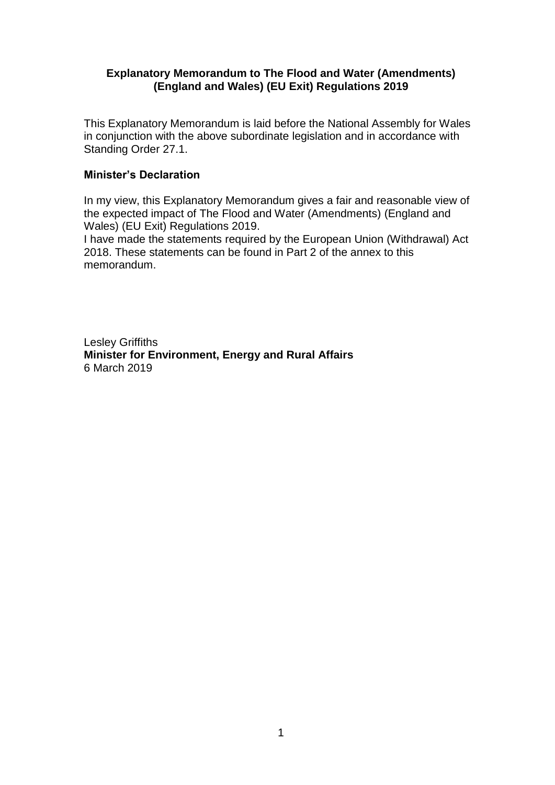#### **Explanatory Memorandum to The Flood and Water (Amendments) (England and Wales) (EU Exit) Regulations 2019**

This Explanatory Memorandum is laid before the National Assembly for Wales in conjunction with the above subordinate legislation and in accordance with Standing Order 27.1.

#### **Minister's Declaration**

In my view, this Explanatory Memorandum gives a fair and reasonable view of the expected impact of The Flood and Water (Amendments) (England and Wales) (EU Exit) Regulations 2019.

I have made the statements required by the European Union (Withdrawal) Act 2018. These statements can be found in Part 2 of the annex to this memorandum.

Lesley Griffiths **Minister for Environment, Energy and Rural Affairs** 6 March 2019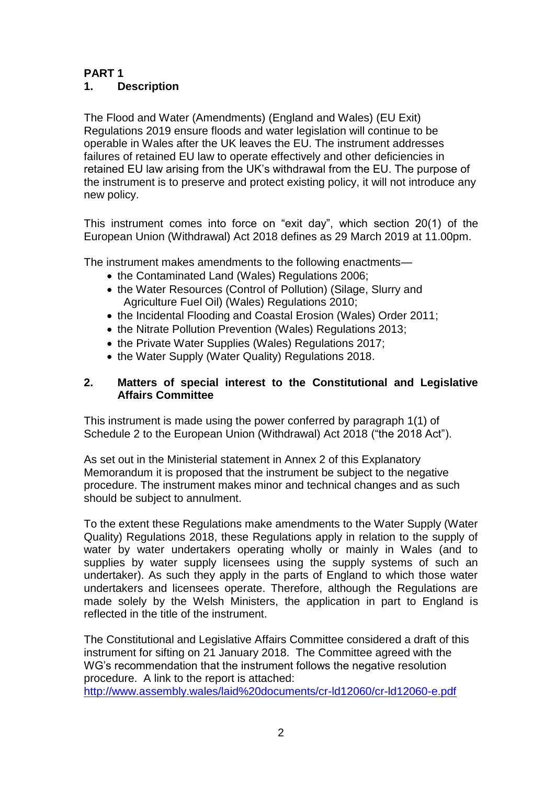#### **PART 1 1. Description**

The Flood and Water (Amendments) (England and Wales) (EU Exit) Regulations 2019 ensure floods and water legislation will continue to be operable in Wales after the UK leaves the EU. The instrument addresses failures of retained EU law to operate effectively and other deficiencies in retained EU law arising from the UK's withdrawal from the EU. The purpose of the instrument is to preserve and protect existing policy, it will not introduce any new policy.

This instrument comes into force on "exit day", which section 20(1) of the European Union (Withdrawal) Act 2018 defines as 29 March 2019 at 11.00pm.

The instrument makes amendments to the following enactments—

- the Contaminated Land (Wales) Regulations 2006;
- the Water Resources (Control of Pollution) (Silage, Slurry and Agriculture Fuel Oil) (Wales) Regulations 2010;
- the Incidental Flooding and Coastal Erosion (Wales) Order 2011:
- the Nitrate Pollution Prevention (Wales) Regulations 2013;
- the Private Water Supplies (Wales) Regulations 2017:
- the Water Supply (Water Quality) Regulations 2018.

#### **2. Matters of special interest to the Constitutional and Legislative Affairs Committee**

This instrument is made using the power conferred by paragraph 1(1) of Schedule 2 to the European Union (Withdrawal) Act 2018 ("the 2018 Act").

As set out in the Ministerial statement in Annex 2 of this Explanatory Memorandum it is proposed that the instrument be subject to the negative procedure. The instrument makes minor and technical changes and as such should be subject to annulment.

To the extent these Regulations make amendments to the Water Supply (Water Quality) Regulations 2018, these Regulations apply in relation to the supply of water by water undertakers operating wholly or mainly in Wales (and to supplies by water supply licensees using the supply systems of such an undertaker). As such they apply in the parts of England to which those water undertakers and licensees operate. Therefore, although the Regulations are made solely by the Welsh Ministers, the application in part to England is reflected in the title of the instrument.

The Constitutional and Legislative Affairs Committee considered a draft of this instrument for sifting on 21 January 2018. The Committee agreed with the WG's recommendation that the instrument follows the negative resolution procedure. A link to the report is attached:

<http://www.assembly.wales/laid%20documents/cr-ld12060/cr-ld12060-e.pdf>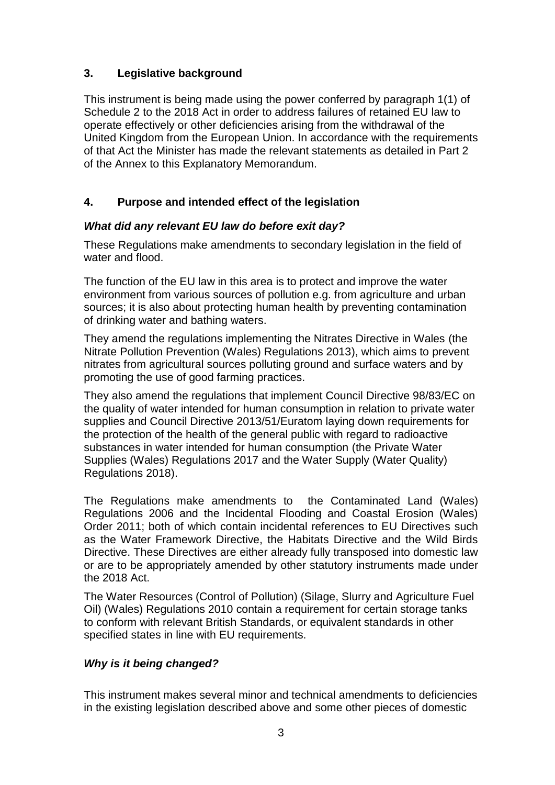# **3. Legislative background**

This instrument is being made using the power conferred by paragraph 1(1) of Schedule 2 to the 2018 Act in order to address failures of retained EU law to operate effectively or other deficiencies arising from the withdrawal of the United Kingdom from the European Union. In accordance with the requirements of that Act the Minister has made the relevant statements as detailed in Part 2 of the Annex to this Explanatory Memorandum.

# **4. Purpose and intended effect of the legislation**

## *What did any relevant EU law do before exit day?*

These Regulations make amendments to secondary legislation in the field of water and flood.

The function of the EU law in this area is to protect and improve the water environment from various sources of pollution e.g. from agriculture and urban sources; it is also about protecting human health by preventing contamination of drinking water and bathing waters.

They amend the regulations implementing the Nitrates Directive in Wales (the Nitrate Pollution Prevention (Wales) Regulations 2013), which aims to prevent nitrates from agricultural sources polluting ground and surface waters and by promoting the use of good farming practices.

They also amend the regulations that implement Council [Directive 98/83/EC](http://www.legislation.gov.uk/european/directive/1998/0083) on the quality of water intended for human consumption in relation to private water supplies and Council Directive 2013/51/Euratom laying down requirements for the protection of the health of the general public with regard to radioactive substances in water intended for human consumption (the Private Water Supplies (Wales) Regulations 2017 and the Water Supply (Water Quality) Regulations 2018).

The Regulations make amendments to the Contaminated Land (Wales) Regulations 2006 and the Incidental Flooding and Coastal Erosion (Wales) Order 2011; both of which contain incidental references to EU Directives such as the Water Framework Directive, the Habitats Directive and the Wild Birds Directive. These Directives are either already fully transposed into domestic law or are to be appropriately amended by other statutory instruments made under the 2018 Act.

The Water Resources (Control of Pollution) (Silage, Slurry and Agriculture Fuel Oil) (Wales) Regulations 2010 contain a requirement for certain storage tanks to conform with relevant British Standards, or equivalent standards in other specified states in line with EU requirements.

## *Why is it being changed?*

This instrument makes several minor and technical amendments to deficiencies in the existing legislation described above and some other pieces of domestic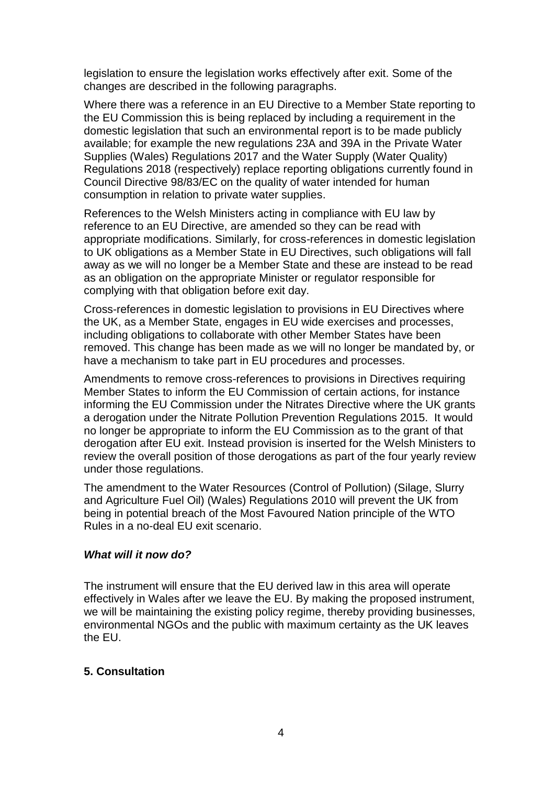legislation to ensure the legislation works effectively after exit. Some of the changes are described in the following paragraphs.

Where there was a reference in an EU Directive to a Member State reporting to the EU Commission this is being replaced by including a requirement in the domestic legislation that such an environmental report is to be made publicly available; for example the new regulations 23A and 39A in the Private Water Supplies (Wales) Regulations 2017 and the Water Supply (Water Quality) Regulations 2018 (respectively) replace reporting obligations currently found in Council Directive 98/83/EC on the quality of water intended for human consumption in relation to private water supplies.

References to the Welsh Ministers acting in compliance with EU law by reference to an EU Directive, are amended so they can be read with appropriate modifications. Similarly, for cross-references in domestic legislation to UK obligations as a Member State in EU Directives, such obligations will fall away as we will no longer be a Member State and these are instead to be read as an obligation on the appropriate Minister or regulator responsible for complying with that obligation before exit day.

Cross-references in domestic legislation to provisions in EU Directives where the UK, as a Member State, engages in EU wide exercises and processes, including obligations to collaborate with other Member States have been removed. This change has been made as we will no longer be mandated by, or have a mechanism to take part in EU procedures and processes.

Amendments to remove cross-references to provisions in Directives requiring Member States to inform the EU Commission of certain actions, for instance informing the EU Commission under the Nitrates Directive where the UK grants a derogation under the Nitrate Pollution Prevention Regulations 2015. It would no longer be appropriate to inform the EU Commission as to the grant of that derogation after EU exit. Instead provision is inserted for the Welsh Ministers to review the overall position of those derogations as part of the four yearly review under those regulations.

The amendment to the Water Resources (Control of Pollution) (Silage, Slurry and Agriculture Fuel Oil) (Wales) Regulations 2010 will prevent the UK from being in potential breach of the Most Favoured Nation principle of the WTO Rules in a no-deal EU exit scenario.

#### *What will it now do?*

The instrument will ensure that the EU derived law in this area will operate effectively in Wales after we leave the EU. By making the proposed instrument, we will be maintaining the existing policy regime, thereby providing businesses, environmental NGOs and the public with maximum certainty as the UK leaves the EU.

#### **5. Consultation**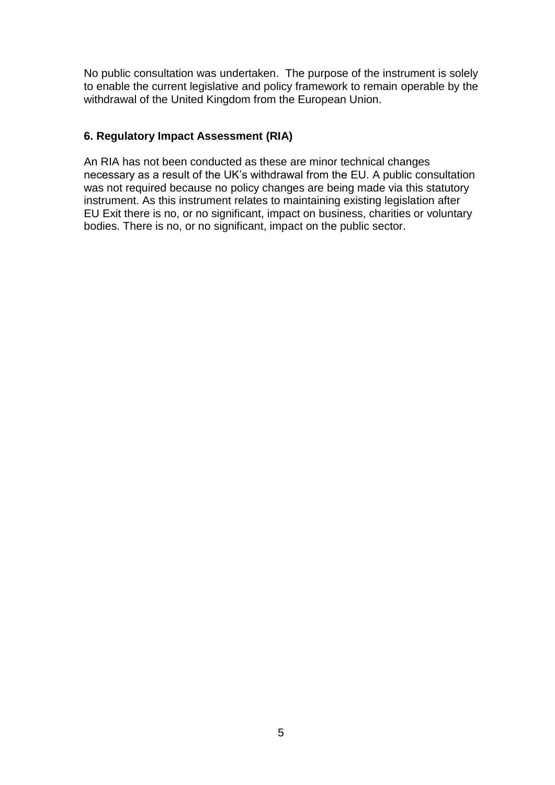No public consultation was undertaken. The purpose of the instrument is solely to enable the current legislative and policy framework to remain operable by the withdrawal of the United Kingdom from the European Union.

### **6. Regulatory Impact Assessment (RIA)**

An RIA has not been conducted as these are minor technical changes necessary as a result of the UK's withdrawal from the EU. A public consultation was not required because no policy changes are being made via this statutory instrument. As this instrument relates to maintaining existing legislation after EU Exit there is no, or no significant, impact on business, charities or voluntary bodies. There is no, or no significant, impact on the public sector.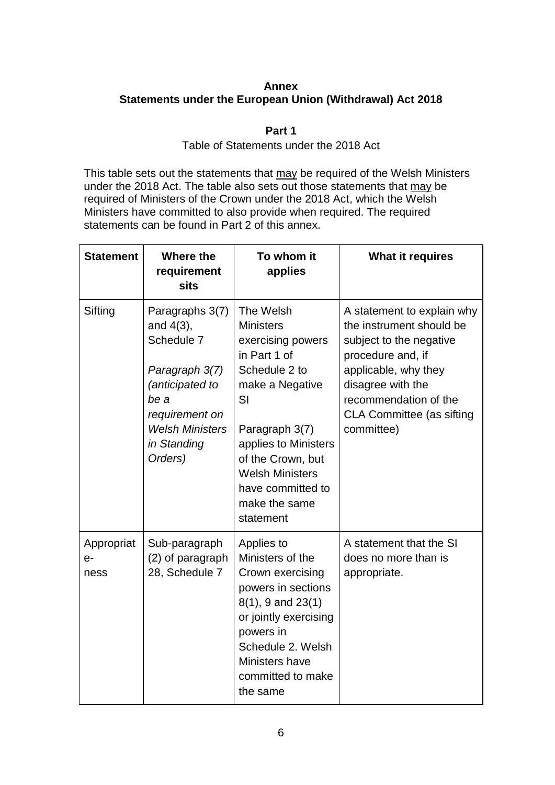#### **Annex Statements under the European Union (Withdrawal) Act 2018**

## **Part 1**

#### Table of Statements under the 2018 Act

This table sets out the statements that may be required of the Welsh Ministers under the 2018 Act. The table also sets out those statements that may be required of Ministers of the Crown under the 2018 Act, which the Welsh Ministers have committed to also provide when required. The required statements can be found in Part 2 of this annex.

| <b>Statement</b>           | Where the<br>requirement<br><b>sits</b>                                                                                                                          | To whom it<br>applies                                                                                                                                                                                                                                    | <b>What it requires</b>                                                                                                                                                                                                        |
|----------------------------|------------------------------------------------------------------------------------------------------------------------------------------------------------------|----------------------------------------------------------------------------------------------------------------------------------------------------------------------------------------------------------------------------------------------------------|--------------------------------------------------------------------------------------------------------------------------------------------------------------------------------------------------------------------------------|
| Sifting                    | Paragraphs 3(7)<br>and $4(3)$ ,<br>Schedule 7<br>Paragraph 3(7)<br>(anticipated to<br>be a<br>requirement on<br><b>Welsh Ministers</b><br>in Standing<br>Orders) | The Welsh<br><b>Ministers</b><br>exercising powers<br>in Part 1 of<br>Schedule 2 to<br>make a Negative<br>SI<br>Paragraph 3(7)<br>applies to Ministers<br>of the Crown, but<br><b>Welsh Ministers</b><br>have committed to<br>make the same<br>statement | A statement to explain why<br>the instrument should be<br>subject to the negative<br>procedure and, if<br>applicable, why they<br>disagree with the<br>recommendation of the<br><b>CLA Committee (as sifting</b><br>committee) |
| Appropriat<br>$e-$<br>ness | Sub-paragraph<br>(2) of paragraph<br>28, Schedule 7                                                                                                              | Applies to<br>Ministers of the<br>Crown exercising<br>powers in sections<br>$8(1)$ , 9 and $23(1)$<br>or jointly exercising<br>powers in<br>Schedule 2. Welsh<br>Ministers have<br>committed to make<br>the same                                         | A statement that the SI<br>does no more than is<br>appropriate.                                                                                                                                                                |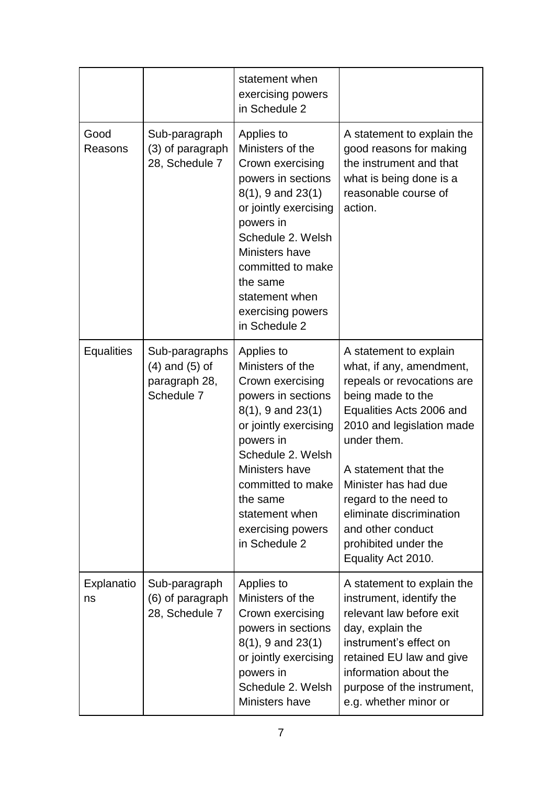|                   |                                                                     | statement when<br>exercising powers<br>in Schedule 2                                                                                                                                                                                                                     |                                                                                                                                                                                                                                                                                                                                                       |
|-------------------|---------------------------------------------------------------------|--------------------------------------------------------------------------------------------------------------------------------------------------------------------------------------------------------------------------------------------------------------------------|-------------------------------------------------------------------------------------------------------------------------------------------------------------------------------------------------------------------------------------------------------------------------------------------------------------------------------------------------------|
| Good<br>Reasons   | Sub-paragraph<br>(3) of paragraph<br>28, Schedule 7                 | Applies to<br>Ministers of the<br>Crown exercising<br>powers in sections<br>$8(1)$ , 9 and $23(1)$<br>or jointly exercising<br>powers in<br>Schedule 2. Welsh<br>Ministers have<br>committed to make<br>the same<br>statement when<br>exercising powers<br>in Schedule 2 | A statement to explain the<br>good reasons for making<br>the instrument and that<br>what is being done is a<br>reasonable course of<br>action.                                                                                                                                                                                                        |
| <b>Equalities</b> | Sub-paragraphs<br>$(4)$ and $(5)$ of<br>paragraph 28,<br>Schedule 7 | Applies to<br>Ministers of the<br>Crown exercising<br>powers in sections<br>$8(1)$ , 9 and $23(1)$<br>or jointly exercising<br>powers in<br>Schedule 2. Welsh<br>Ministers have<br>committed to make<br>the same<br>statement when<br>exercising powers<br>in Schedule 2 | A statement to explain<br>what, if any, amendment,<br>repeals or revocations are<br>being made to the<br>Equalities Acts 2006 and<br>2010 and legislation made<br>under them.<br>A statement that the<br>Minister has had due<br>regard to the need to<br>eliminate discrimination<br>and other conduct<br>prohibited under the<br>Equality Act 2010. |
| Explanatio<br>ns  | Sub-paragraph<br>(6) of paragraph<br>28, Schedule 7                 | Applies to<br>Ministers of the<br>Crown exercising<br>powers in sections<br>$8(1)$ , 9 and $23(1)$<br>or jointly exercising<br>powers in<br>Schedule 2. Welsh<br>Ministers have                                                                                          | A statement to explain the<br>instrument, identify the<br>relevant law before exit<br>day, explain the<br>instrument's effect on<br>retained EU law and give<br>information about the<br>purpose of the instrument,<br>e.g. whether minor or                                                                                                          |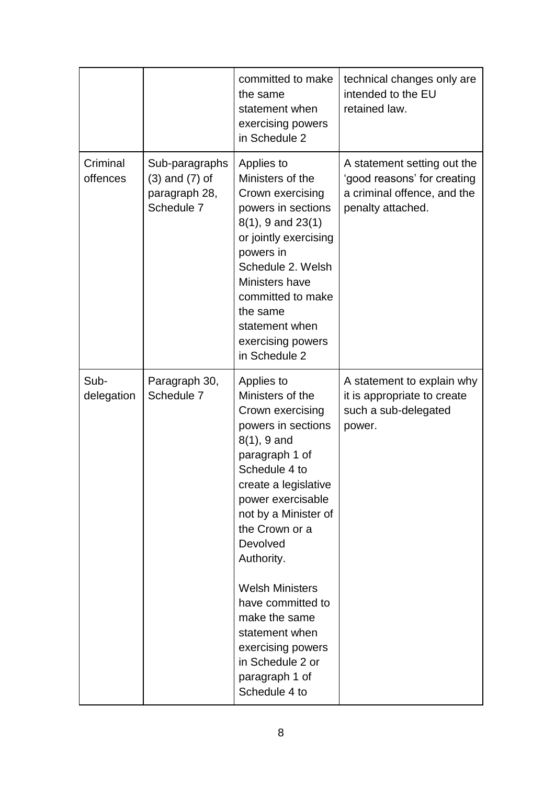|                      |                                                                                | committed to make<br>the same<br>statement when<br>exercising powers<br>in Schedule 2                                                                                                                                                                                                                                                                                                                        | technical changes only are<br>intended to the EU<br>retained law.                                              |
|----------------------|--------------------------------------------------------------------------------|--------------------------------------------------------------------------------------------------------------------------------------------------------------------------------------------------------------------------------------------------------------------------------------------------------------------------------------------------------------------------------------------------------------|----------------------------------------------------------------------------------------------------------------|
| Criminal<br>offences | Sub-paragraphs<br>$(3)$ and $(7)$ of<br>paragraph 28,<br>Schedule <sub>7</sub> | Applies to<br>Ministers of the<br>Crown exercising<br>powers in sections<br>$8(1)$ , 9 and $23(1)$<br>or jointly exercising<br>powers in<br>Schedule 2. Welsh<br>Ministers have<br>committed to make<br>the same<br>statement when<br>exercising powers<br>in Schedule 2                                                                                                                                     | A statement setting out the<br>'good reasons' for creating<br>a criminal offence, and the<br>penalty attached. |
| Sub-<br>delegation   | Paragraph 30,<br>Schedule 7                                                    | Applies to<br>Ministers of the<br>Crown exercising<br>powers in sections<br>$8(1)$ , 9 and<br>paragraph 1 of<br>Schedule 4 to<br>create a legislative<br>power exercisable<br>not by a Minister of<br>the Crown or a<br>Devolved<br>Authority.<br><b>Welsh Ministers</b><br>have committed to<br>make the same<br>statement when<br>exercising powers<br>in Schedule 2 or<br>paragraph 1 of<br>Schedule 4 to | A statement to explain why<br>it is appropriate to create<br>such a sub-delegated<br>power.                    |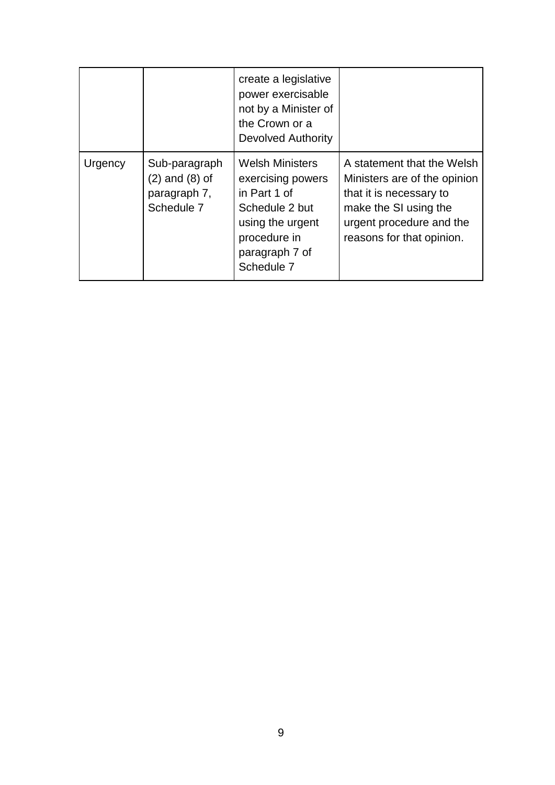|         |                                                                   | create a legislative<br>power exercisable<br>not by a Minister of<br>the Crown or a<br>Devolved Authority                                         |                                                                                                                                                                         |
|---------|-------------------------------------------------------------------|---------------------------------------------------------------------------------------------------------------------------------------------------|-------------------------------------------------------------------------------------------------------------------------------------------------------------------------|
| Urgency | Sub-paragraph<br>$(2)$ and $(8)$ of<br>paragraph 7,<br>Schedule 7 | <b>Welsh Ministers</b><br>exercising powers<br>in Part 1 of<br>Schedule 2 but<br>using the urgent<br>procedure in<br>paragraph 7 of<br>Schedule 7 | A statement that the Welsh<br>Ministers are of the opinion<br>that it is necessary to<br>make the SI using the<br>urgent procedure and the<br>reasons for that opinion. |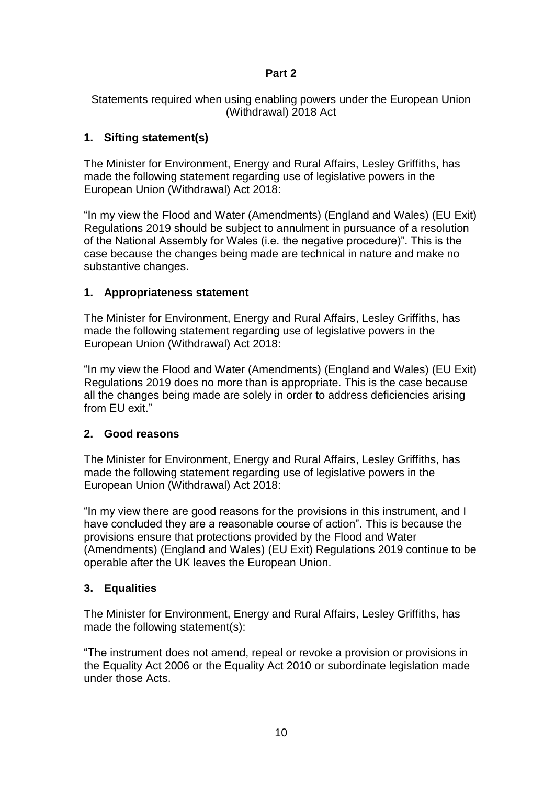## **Part 2**

Statements required when using enabling powers under the European Union (Withdrawal) 2018 Act

# **1. Sifting statement(s)**

The Minister for Environment, Energy and Rural Affairs, Lesley Griffiths, has made the following statement regarding use of legislative powers in the European Union (Withdrawal) Act 2018:

"In my view the Flood and Water (Amendments) (England and Wales) (EU Exit) Regulations 2019 should be subject to annulment in pursuance of a resolution of the National Assembly for Wales (i.e. the negative procedure)". This is the case because the changes being made are technical in nature and make no substantive changes.

# **1. Appropriateness statement**

The Minister for Environment, Energy and Rural Affairs, Lesley Griffiths, has made the following statement regarding use of legislative powers in the European Union (Withdrawal) Act 2018:

"In my view the Flood and Water (Amendments) (England and Wales) (EU Exit) Regulations 2019 does no more than is appropriate. This is the case because all the changes being made are solely in order to address deficiencies arising from EU exit."

# **2. Good reasons**

The Minister for Environment, Energy and Rural Affairs, Lesley Griffiths, has made the following statement regarding use of legislative powers in the European Union (Withdrawal) Act 2018:

"In my view there are good reasons for the provisions in this instrument, and I have concluded they are a reasonable course of action". This is because the provisions ensure that protections provided by the Flood and Water (Amendments) (England and Wales) (EU Exit) Regulations 2019 continue to be operable after the UK leaves the European Union.

# **3. Equalities**

The Minister for Environment, Energy and Rural Affairs, Lesley Griffiths, has made the following statement(s):

"The instrument does not amend, repeal or revoke a provision or provisions in the Equality Act 2006 or the Equality Act 2010 or subordinate legislation made under those Acts.